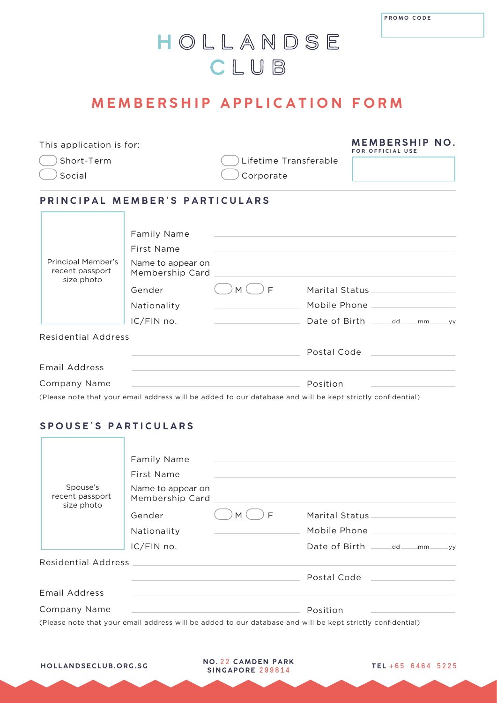## HOLLANDSE CLUB

### **MEMBERSHIP APPLICATION FORM**

This application is for:

Short-Term

Social

**r** 

Lifetime Transferable Corporate

**MEMBERSHIP NO. FOR OFFICIAL USE**

#### **PRINCIPAL MEMBER'S PARTICULARS**

|                                                     | Family Name                                                                         |                                              |                                                   |
|-----------------------------------------------------|-------------------------------------------------------------------------------------|----------------------------------------------|---------------------------------------------------|
| Principal Member's<br>recent passport<br>size photo | First Name                                                                          |                                              |                                                   |
|                                                     | Name to appear on<br>Membership Card                                                |                                              |                                                   |
|                                                     | Gender                                                                              | E<br>M                                       | Marital Status                                    |
|                                                     | Nationality                                                                         |                                              | Mobile Phone                                      |
|                                                     | IC/FIN no.                                                                          | the control of the control of the control of | Date of Birth _______dd_____<br>$mm_{-}$<br>$-yy$ |
|                                                     | Residential Address Management and Contract and Contract of the Residential Address |                                              |                                                   |
|                                                     |                                                                                     |                                              |                                                   |
| <b>Email Address</b>                                |                                                                                     |                                              |                                                   |
| Company Name                                        |                                                                                     |                                              | Position                                          |

(Please note that your email address will be added to our database and will be kept strictly confidential)

#### **SPOUSE'S PARTICULARS**

| Spouse's<br>recent passport | Family Name<br>First Name<br>Name to appear on                                            | the company of the company of the company of the company of the company of the company of | and the control of the control of the control of the control of the control of the control of the control of the                                                                                                                         |       |
|-----------------------------|-------------------------------------------------------------------------------------------|-------------------------------------------------------------------------------------------|------------------------------------------------------------------------------------------------------------------------------------------------------------------------------------------------------------------------------------------|-------|
| size photo                  |                                                                                           |                                                                                           |                                                                                                                                                                                                                                          |       |
|                             | Gender                                                                                    | F<br>M                                                                                    | Marital Status                                                                                                                                                                                                                           |       |
|                             | Nationality                                                                               |                                                                                           | Mobile Phone _________                                                                                                                                                                                                                   |       |
|                             | IC/FIN no.                                                                                | <u> 1990 - Jan Stein Stein, fransk politiker (</u>                                        | Date of Birth ______ dd____<br>mm                                                                                                                                                                                                        | $-yy$ |
|                             |                                                                                           |                                                                                           |                                                                                                                                                                                                                                          |       |
|                             |                                                                                           |                                                                                           |                                                                                                                                                                                                                                          |       |
|                             |                                                                                           |                                                                                           |                                                                                                                                                                                                                                          |       |
| Company Name                | the process of the control of the control of the control of the control of the control of |                                                                                           | Position                                                                                                                                                                                                                                 |       |
| <b>Email Address</b>        |                                                                                           |                                                                                           | $\mathcal{L}(\mathbf{C})$ . The set of the set of the set of the set of the set of the set of the set of the set of the set of the set of the set of the set of the set of the set of the set of the set of the set of the set of the se |       |

(Please note that your email address will be added to our database and will be kept strictly confidential)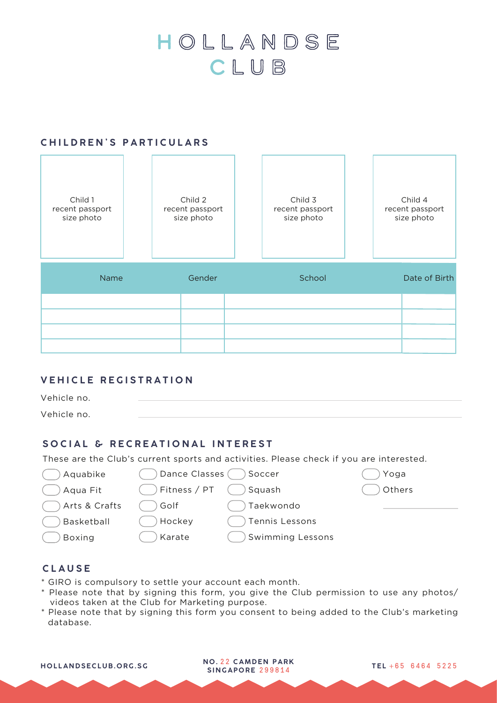# HOLLANDSE CLUB

#### **CHILDREN'S PARTICULARS**

| Child 1<br>recent passport<br>size photo | Child 2<br>recent passport<br>size photo | Child 3<br>recent passport<br>size photo | Child 4<br>recent passport<br>size photo |
|------------------------------------------|------------------------------------------|------------------------------------------|------------------------------------------|
| <b>Name</b>                              | Gender                                   | School                                   | Date of Birth                            |
|                                          |                                          |                                          |                                          |
|                                          |                                          |                                          |                                          |
|                                          |                                          |                                          |                                          |

#### **VEHICLE REGISTRATION**

| Vehicle no. |  |
|-------------|--|
| Vehicle no. |  |

Squash

#### **SOCIAL & RECREATIONAL INTEREST**

These are the Club's current sports and activities. Please check if you are interested.

Aquabike

Dance Classes ( ) Soccer

Aqua Fit

- Arts & Crafts
- Basketball
- Golf Hockey

Boxing

| поскеу |  |
|--------|--|
|        |  |
| Karate |  |

Fitness / PT

| Tennis Lessons     |  |
|--------------------|--|
| Swimming Lessons ( |  |

Taekwondo

#### **CLAUSE**

- \* GIRO is compulsory to settle your account each month.
- \* Please note that by signing this form, you give the Club permission to use any photos/ videos taken at the Club for Marketing purpose.
- \* Please note that by signing this form you consent to being added to the Club's marketing database.

Yoga Others